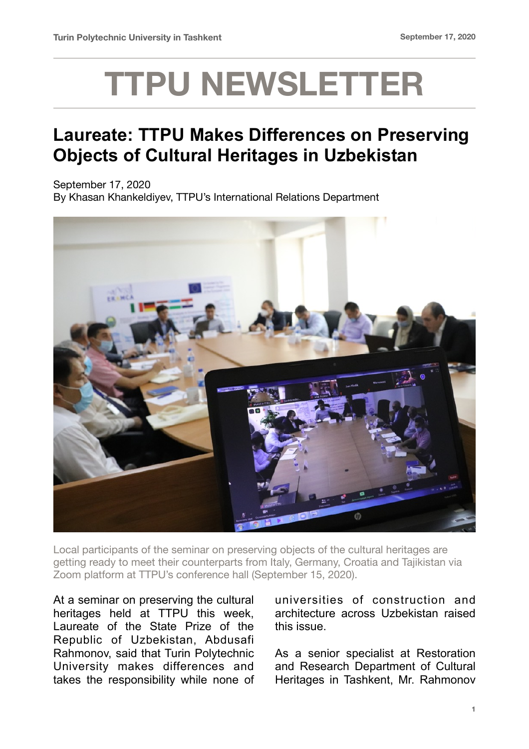## **TTPU NEWSLETTER**

## **Laureate: TTPU Makes Differences on Preserving Objects of Cultural Heritages in Uzbekistan**

September 17, 2020 By Khasan Khankeldiyev, TTPU's International Relations Department



Local participants of the seminar on preserving objects of the cultural heritages are getting ready to meet their counterparts from Italy, Germany, Croatia and Tajikistan via Zoom platform at TTPU's conference hall (September 15, 2020).

At a seminar on preserving the cultural heritages held at TTPU this week, Laureate of the State Prize of the Republic of Uzbekistan, Abdusafi Rahmonov, said that Turin Polytechnic University makes differences and takes the responsibility while none of universities of construction and architecture across Uzbekistan raised this issue.

As a senior specialist at Restoration and Research Department of Cultural Heritages in Tashkent, Mr. Rahmonov